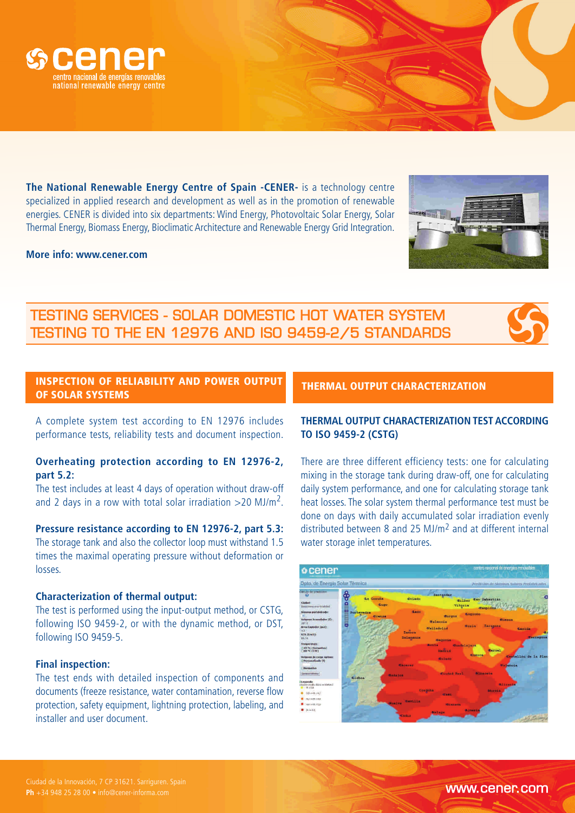

**The National Renewable Energy Centre of Spain -CENER-** is a technology centre specialized in applied research and development as well as in the promotion of renewable energies. CENER is divided into six departments: Wind Energy, Photovoltaic Solar Energy, Solar Thermal Energy, Biomass Energy, Bioclimatic Architecture and Renewable Energy Grid Integration.

### **More info: www.cener.com**

# TESTING SERVICES - SOLAR DOMESTIC HOT WATER SYSTEM TESTING TO THE EN 12976 AND ISO 9459-2/5 STANDARDS

# INSPECTION OF RELIABILITY AND POWER OUTPUT OF SOLAR SYSTEMS

A complete system test according to EN 12976 includes performance tests, reliability tests and document inspection.

# **Overheating protection according to EN 12976-2, part 5.2:**

The test includes at least 4 days of operation without draw-off and 2 days in a row with total solar irradiation >20 MJ/m<sup>2</sup>.

### **Pressure resistance according to EN 12976-2, part 5.3:**

The storage tank and also the collector loop must withstand 1.5 times the maximal operating pressure without deformation or losses.

### **Characterization of thermal output:**

The test is performed using the input-output method, or CSTG, following ISO 9459-2, or with the dynamic method, or DST, following ISO 9459-5.

### **Final inspection:**

The test ends with detailed inspection of components and documents (freeze resistance, water contamination, reverse flow protection, safety equipment, lightning protection, labeling, and installer and user document.

### THERMAL OUTPUT CHARACTERIZATION

## **THERMAL OUTPUT CHARACTERIZATION TEST ACCORDING TO ISO 9459-2 (CSTG)**

There are three different efficiency tests: one for calculating mixing in the storage tank during draw-off, one for calculating daily system performance, and one for calculating storage tank heat losses. The solar system thermal performance test must be done on days with daily accumulated solar irradiation evenly distributed between 8 and 25 MJ/m2 and at different internal water storage inlet temperatures.